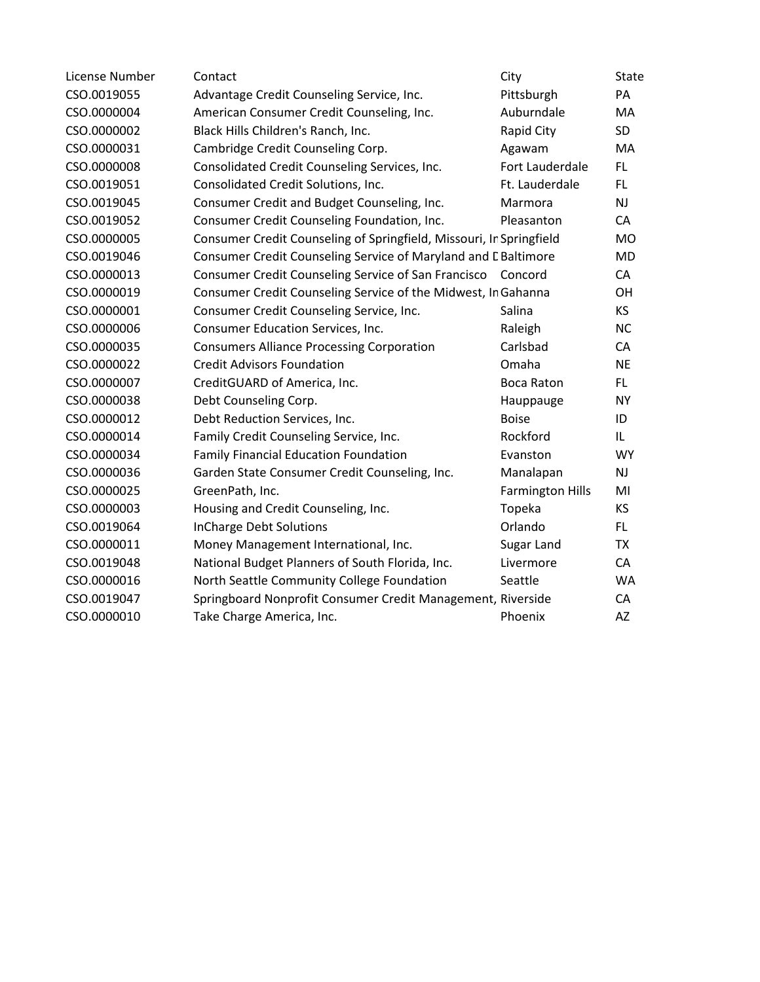| License Number | Contact                                                             | City                    | <b>State</b> |
|----------------|---------------------------------------------------------------------|-------------------------|--------------|
| CSO.0019055    | Advantage Credit Counseling Service, Inc.                           | Pittsburgh              | PA           |
| CSO.0000004    | American Consumer Credit Counseling, Inc.                           | Auburndale              | MA           |
| CSO.0000002    | Black Hills Children's Ranch, Inc.                                  | Rapid City              | SD           |
| CSO.0000031    | Cambridge Credit Counseling Corp.                                   | Agawam                  | MA           |
| CSO.0000008    | Consolidated Credit Counseling Services, Inc.                       | Fort Lauderdale         | FL           |
| CSO.0019051    | Consolidated Credit Solutions, Inc.                                 | Ft. Lauderdale          | FL           |
| CSO.0019045    | Consumer Credit and Budget Counseling, Inc.                         | Marmora                 | <b>NJ</b>    |
| CSO.0019052    | Consumer Credit Counseling Foundation, Inc.                         | Pleasanton              | CA           |
| CSO.0000005    | Consumer Credit Counseling of Springfield, Missouri, Ir Springfield |                         | <b>MO</b>    |
| CSO.0019046    | Consumer Credit Counseling Service of Maryland and L Baltimore      |                         | MD           |
| CSO.0000013    | Consumer Credit Counseling Service of San Francisco                 | Concord                 | CA           |
| CSO.0000019    | Consumer Credit Counseling Service of the Midwest, In Gahanna       |                         | OH           |
| CSO.0000001    | Consumer Credit Counseling Service, Inc.                            | Salina                  | KS           |
| CSO.0000006    | Consumer Education Services, Inc.                                   | Raleigh                 | <b>NC</b>    |
| CSO.0000035    | <b>Consumers Alliance Processing Corporation</b>                    | Carlsbad                | CA           |
| CSO.0000022    | <b>Credit Advisors Foundation</b>                                   | Omaha                   | <b>NE</b>    |
| CSO.0000007    | CreditGUARD of America, Inc.                                        | <b>Boca Raton</b>       | FL.          |
| CSO.0000038    | Debt Counseling Corp.                                               | Hauppauge               | <b>NY</b>    |
| CSO.0000012    | Debt Reduction Services, Inc.                                       | <b>Boise</b>            | ID           |
| CSO.0000014    | Family Credit Counseling Service, Inc.                              | Rockford                | IL           |
| CSO.0000034    | <b>Family Financial Education Foundation</b>                        | Evanston                | <b>WY</b>    |
| CSO.0000036    | Garden State Consumer Credit Counseling, Inc.                       | Manalapan               | <b>NJ</b>    |
| CSO.0000025    | GreenPath, Inc.                                                     | <b>Farmington Hills</b> | MI           |
| CSO.0000003    | Housing and Credit Counseling, Inc.                                 | Topeka                  | KS           |
| CSO.0019064    | InCharge Debt Solutions                                             | Orlando                 | FL.          |
| CSO.0000011    | Money Management International, Inc.                                | Sugar Land              | <b>TX</b>    |
| CSO.0019048    | National Budget Planners of South Florida, Inc.                     | Livermore               | CA           |
| CSO.0000016    | North Seattle Community College Foundation                          | Seattle                 | WA           |
| CSO.0019047    | Springboard Nonprofit Consumer Credit Management, Riverside         |                         | CA           |
| CSO.0000010    | Take Charge America, Inc.                                           | Phoenix                 | AZ           |